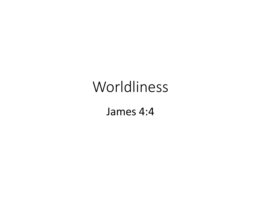# Worldliness

James 4:4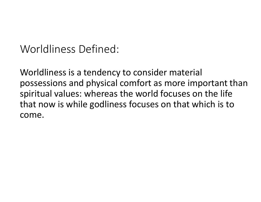Worldliness Defined:

Worldliness is a tendency to consider material possessions and physical comfort as more important than spiritual values: whereas the world focuses on the life that now is while godliness focuses on that which is to come.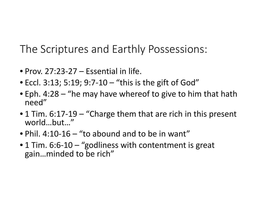The Scriptures and Earthly Possessions:

- Prov. 27:23-27 Essential in life.
- Eccl. 3:13; 5:19; 9:7-10 "this is the gift of God"
- Eph. 4:28 "he may have whereof to give to him that hath need"
- 1 Tim. 6:17-19 "Charge them that are rich in this present world…but…"
- Phil. 4:10-16 "to abound and to be in want"
- 1 Tim. 6:6-10 "godliness with contentment is great gain…minded to be rich"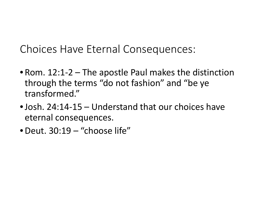Choices Have Eternal Consequences:

- Rom. 12:1-2 The apostle Paul makes the distinction through the terms "do not fashion" and "be ye transformed."
- •Josh. 24:14-15 Understand that our choices have eternal consequences.
- •Deut. 30:19 "choose life"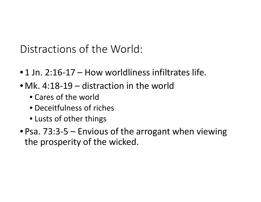Distractions of the World:

- •1 Jn. 2:16-17 How worldliness infiltrates life.
- Mk. 4:18-19 distraction in the world
	- Cares of the world
	- Deceitfulness of riches
	- Lusts of other things
- Psa. 73:3-5 Envious of the arrogant when viewing the prosperity of the wicked.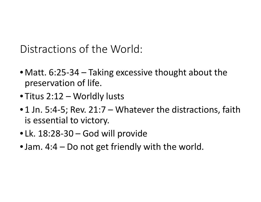Distractions of the World:

- Matt. 6:25-34 Taking excessive thought about the preservation of life.
- Titus 2:12 Worldly lusts
- 1 Jn. 5:4-5; Rev. 21:7 Whatever the distractions, faith is essential to victory.
- Lk. 18:28-30 God will provide
- Jam. 4:4 Do not get friendly with the world.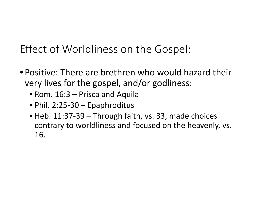## Effect of Worldliness on the Gospel:

- Positive: There are brethren who would hazard their very lives for the gospel, and/or godliness:
	- Rom. 16:3 Prisca and Aquila
	- Phil. 2:25-30 Epaphroditus
	- Heb. 11:37-39 Through faith, vs. 33, made choices contrary to worldliness and focused on the heavenly, vs. 16.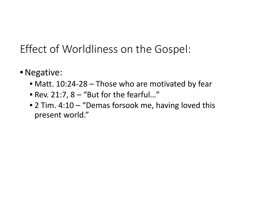## Effect of Worldliness on the Gospel:

- •Negative:
	- Matt. 10:24-28 Those who are motivated by fear
	- Rev. 21:7, 8 "But for the fearful…"
	- 2 Tim. 4:10 "Demas forsook me, having loved this present world."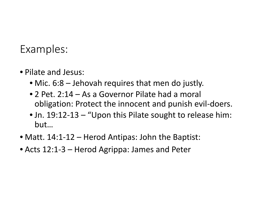#### Examples:

- Pilate and Jesus:
	- Mic. 6:8 Jehovah requires that men do justly.
	- 2 Pet. 2:14 As a Governor Pilate had a moral obligation: Protect the innocent and punish evil-doers.
	- Jn. 19:12-13 "Upon this Pilate sought to release him: but…
- Matt. 14:1-12 Herod Antipas: John the Baptist:
- Acts 12:1-3 Herod Agrippa: James and Peter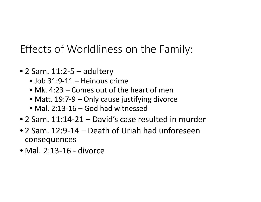## Effects of Worldliness on the Family:

- 2 Sam. 11:2-5 adultery
	- Job 31:9-11 Heinous crime
	- Mk. 4:23 Comes out of the heart of men
	- Matt. 19:7-9 Only cause justifying divorce
	- Mal. 2:13-16 God had witnessed
- 2 Sam. 11:14-21 David's case resulted in murder
- 2 Sam. 12:9-14 Death of Uriah had unforeseen consequences
- Mal. 2:13-16 divorce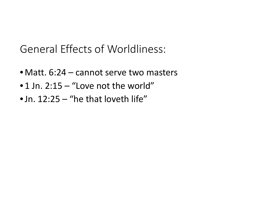General Effects of Worldliness:

- Matt. 6:24 cannot serve two masters
- •1 Jn. 2:15 "Love not the world"
- Jn. 12:25 "he that loveth life"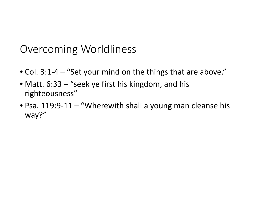### Overcoming Worldliness

- Col. 3:1-4 "Set your mind on the things that are above."
- Matt. 6:33 "seek ye first his kingdom, and his righteousness"
- Psa. 119:9-11 "Wherewith shall a young man cleanse his way?"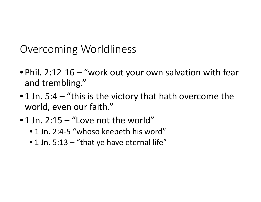Overcoming Worldliness

- Phil. 2:12-16 "work out your own salvation with fear and trembling."
- 1 Jn. 5:4  $-$  "this is the victory that hath overcome the world, even our faith."
- •1 Jn. 2:15 "Love not the world"
	- 1 Jn. 2:4-5 "whoso keepeth his word"
	- 1 Jn. 5:13 "that ye have eternal life"